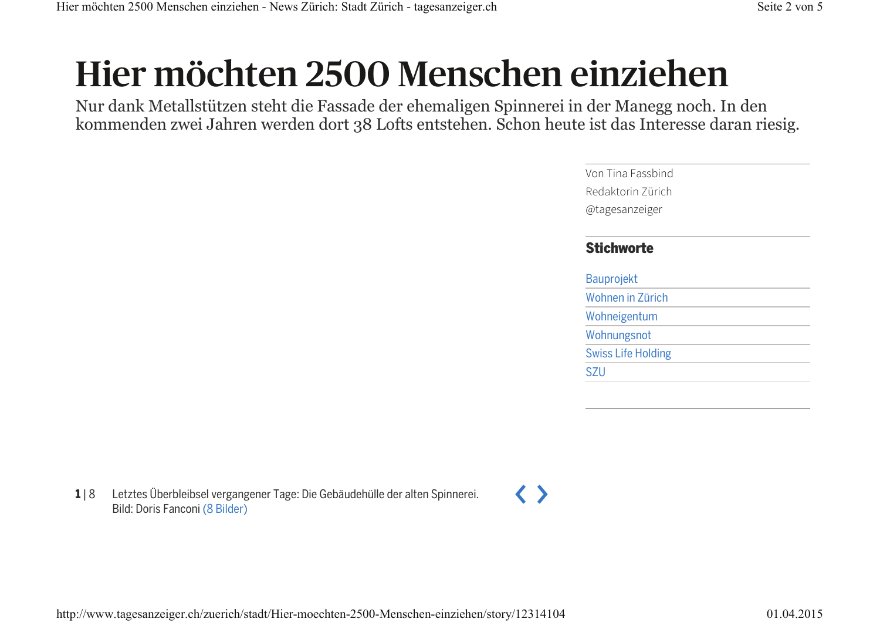# Hier möchten 2500 Menschen einziehen

Nur dank Metallstützen steht die Fassade der ehemaligen Spinnerei in der Manegg noch. In den kommenden zwei Jahren werden dort 38 Lofts entstehen. Schon heute ist das Interesse daran riesig.

> Von Tina Fassbind Redaktorin Zürich @tagesanzeiger **Stichworte Bauprojekt** Wohnen in Zürich Wohneigentum Wohnungsnot **Swiss Life Holding SZU**

 $118$ Letztes Überbleibsel vergangener Tage: Die Gebäudehülle der alten Spinnerei. Bild: Doris Fanconi (8 Bilder)

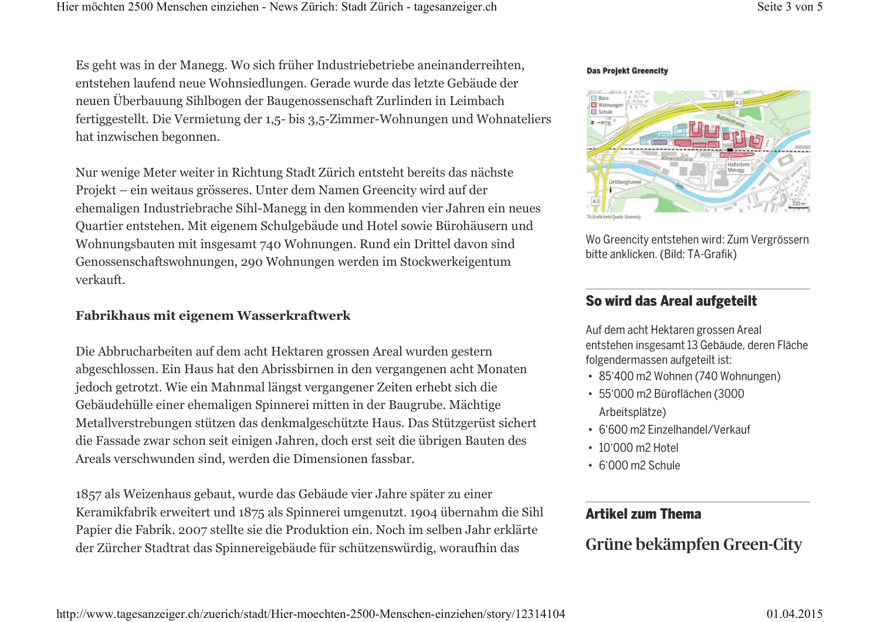Es geht was in der Manegg. Wo sich früher Industriebetriebe aneinanderreihten, entstehen laufend neue Wohnsiedlungen. Gerade wurde das letzte Gebäude der neuen Überbauung Sihlbogen der Baugenossenschaft Zurlinden in Leimbach fertiggestellt. Die Vermietung der 1.5- bis 3.5-Zimmer-Wohnungen und Wohnateliers hat inzwischen begonnen.

Nur wenige Meter weiter in Richtung Stadt Zürich entsteht bereits das nächste Projekt – ein weitaus grösseres. Unter dem Namen Greencity wird auf der ehemaligen Industriebrache Sihl-Manegg in den kommenden vier Jahren ein neues Quartier entstehen. Mit eigenem Schulgebäude und Hotel sowie Bürohäusern und Wohnungsbauten mit insgesamt 740 Wohnungen. Rund ein Drittel davon sind Genossenschaftswohnungen, 290 Wohnungen werden im Stockwerkeigentum verkauft.

#### Fabrikhaus mit eigenem Wasserkraftwerk

Die Abbrucharbeiten auf dem acht Hektaren grossen Areal wurden gestern abgeschlossen. Ein Haus hat den Abrissbirnen in den vergangenen acht Monaten jedoch getrotzt. Wie ein Mahnmal längst vergangener Zeiten erhebt sich die Gebäudehülle einer ehemaligen Spinnerei mitten in der Baugrube. Mächtige Metallverstrebungen stützen das denkmalgeschützte Haus. Das Stützgerüst sichert die Fassade zwar schon seit einigen Jahren, doch erst seit die übrigen Bauten des Areals verschwunden sind, werden die Dimensionen fassbar.

1857 als Weizenhaus gebaut, wurde das Gebäude vier Jahre später zu einer Keramikfabrik erweitert und 1875 als Spinnerei umgenutzt. 1904 übernahm die Sihl Papier die Fabrik. 2007 stellte sie die Produktion ein. Noch im selben Jahr erklärte der Zürcher Stadtrat das Spinnereigebäude für schützenswürdig, woraufhin das

#### **Das Projekt Greencity**



Wo Greencity entstehen wird: Zum Vergrössern bitte anklicken. (Bild: TA-Grafik)

#### So wird das Areal aufgeteilt

Auf dem acht Hektaren grossen Areal entstehen insgesamt 13 Gebäude, deren Fläche folgendermassen aufgeteilt ist:

- · 85'400 m2 Wohnen (740 Wohnungen)
- · 55'000 m2 Büroflächen (3000 Arbeitsplätze)
- 6'600 m2 Einzelhandel/Verkauf
- 10'000 m2 Hotel
- $\cdot$  6'000 m2 Schule

#### **Artikel zum Thema**

Grüne bekämpfen Green-City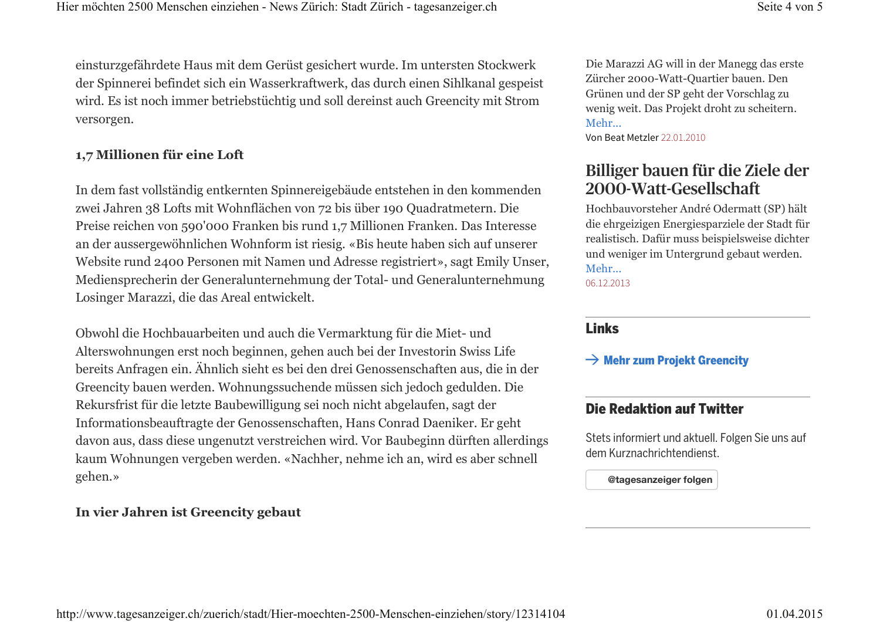Seite 4 von 5

einsturzgefährdete Haus mit dem Gerüst gesichert wurde. Im untersten Stockwerk der Spinnerei befindet sich ein Wasserkraftwerk, das durch einen Sihlkanal gespeist wird. Es ist noch immer betriebstüchtig und soll dereinst auch Greencity mit Strom versorgen.

#### 1,7 Millionen für eine Loft

In dem fast vollständig entkernten Spinnereigebäude entstehen in den kommenden zwei Jahren 38 Lofts mit Wohnflächen von 72 bis über 190 Quadratmetern. Die Preise reichen von 590'000 Franken bis rund 1,7 Millionen Franken. Das Interesse an der aussergewöhnlichen Wohnform ist riesig. «Bis heute haben sich auf unserer Website rund 2400 Personen mit Namen und Adresse registriert», sagt Emily Unser, Mediensprecherin der Generalunternehmung der Total- und Generalunternehmung Losinger Marazzi, die das Areal entwickelt.

Obwohl die Hochbauarbeiten und auch die Vermarktung für die Miet- und Alterswohnungen erst noch beginnen, gehen auch bei der Investorin Swiss Life bereits Anfragen ein. Ähnlich sieht es bei den drei Genossenschaften aus, die in der Greencity bauen werden. Wohnungssuchende müssen sich jedoch gedulden. Die Rekursfrist für die letzte Baubewilligung sei noch nicht abgelaufen, sagt der Informationsbeauftragte der Genossenschaften, Hans Conrad Daeniker. Er geht davon aus, dass diese ungenutzt verstreichen wird. Vor Baubeginn dürften allerdings kaum Wohnungen vergeben werden. «Nachher, nehme ich an, wird es aber schnell gehen.»

#### In vier Jahren ist Greencity gebaut

Die Marazzi AG will in der Manegg das erste Zürcher 2000-Watt-Quartier bauen. Den Grünen und der SP geht der Vorschlag zu wenig weit. Das Projekt droht zu scheitern. Mehr...

Von Beat Metzler 22.01.2010

## Billiger bauen für die Ziele der 2000-Watt-Gesellschaft

Hochbauvorsteher André Odermatt (SP) hält die ehrgeizigen Energiesparziele der Stadt für realistisch. Dafür muss beispielsweise dichter und weniger im Untergrund gebaut werden. Mehr...

06.12.2013

#### **Links**

 $\rightarrow$  Mehr zum Projekt Greencity

### **Die Redaktion auf Twitter**

Stets informiert und aktuell. Folgen Sie uns auf dem Kurznachrichtendienst.

@tagesanzeiger folgen